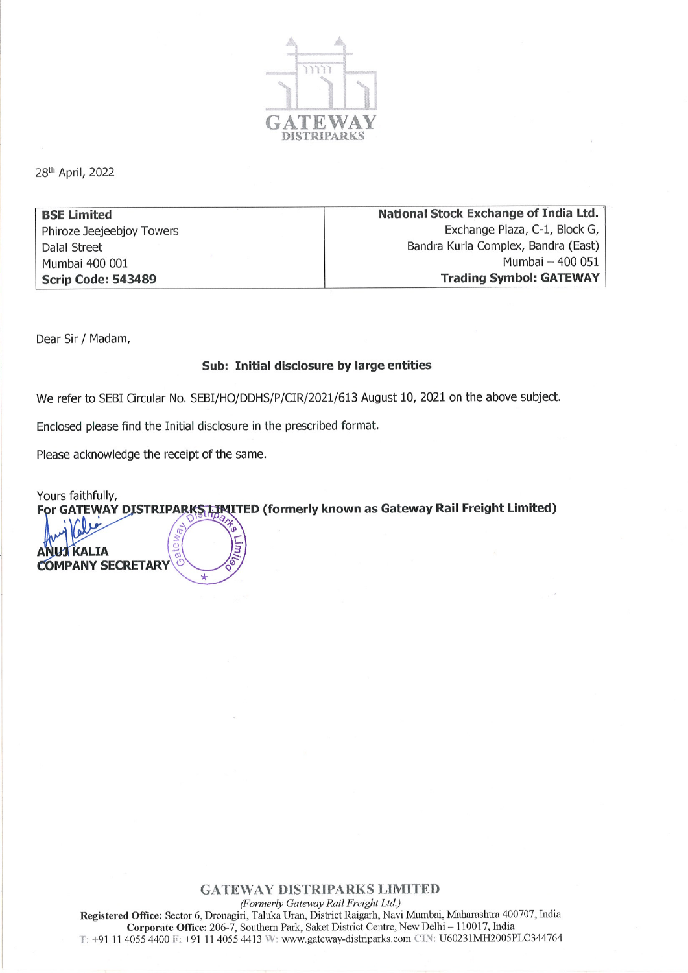

28th April, 2022

**BSE Limited** Phiroze Jeejeebjoy Towers **Dalal Street** Mumbai 400 001 **Scrip Code: 543489** 

National Stock Exchange of India Ltd. Exchange Plaza, C-1, Block G, Bandra Kurla Complex, Bandra (East) Mumbai - 400 051 **Trading Symbol: GATEWAY** 

Dear Sir / Madam,

## Sub: Initial disclosure by large entities

We refer to SEBI Circular No. SEBI/HO/DDHS/P/CIR/2021/613 August 10, 2021 on the above subject.

Enclosed please find the Initial disclosure in the prescribed format.

Please acknowledge the receipt of the same.

Yours faithfully, For GATEWAY DISTRIPARKS LIMITED (formerly known as Gateway Rail Freight Limited)

 $\alpha$ **KALIA COMPANY SECRETARY** 

## **GATEWAY DISTRIPARKS LIMITED**

(Formerly Gateway Rail Freight Ltd.) Registered Office: Sector 6, Dronagiri, Taluka Uran, District Raigarh, Navi Mumbai, Maharashtra 400707, India Corporate Office: 206-7, Southern Park, Saket District Centre, New Delhi - 110017, India T: +91 11 4055 4400 F: +91 11 4055 4413 W: www.gateway-distriparks.com CIN: U60231MH2005PLC344764